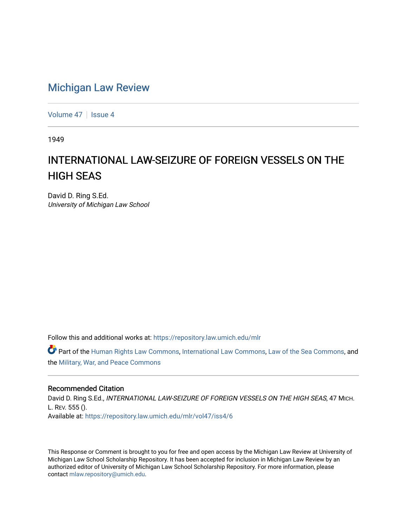# [Michigan Law Review](https://repository.law.umich.edu/mlr)

[Volume 47](https://repository.law.umich.edu/mlr/vol47) | [Issue 4](https://repository.law.umich.edu/mlr/vol47/iss4)

1949

# INTERNATIONAL LAW-SEIZURE OF FOREIGN VESSELS ON THE HIGH SEAS

David D. Ring S.Ed. University of Michigan Law School

Follow this and additional works at: [https://repository.law.umich.edu/mlr](https://repository.law.umich.edu/mlr?utm_source=repository.law.umich.edu%2Fmlr%2Fvol47%2Fiss4%2F6&utm_medium=PDF&utm_campaign=PDFCoverPages) 

Part of the [Human Rights Law Commons,](http://network.bepress.com/hgg/discipline/847?utm_source=repository.law.umich.edu%2Fmlr%2Fvol47%2Fiss4%2F6&utm_medium=PDF&utm_campaign=PDFCoverPages) [International Law Commons](http://network.bepress.com/hgg/discipline/609?utm_source=repository.law.umich.edu%2Fmlr%2Fvol47%2Fiss4%2F6&utm_medium=PDF&utm_campaign=PDFCoverPages), [Law of the Sea Commons](http://network.bepress.com/hgg/discipline/855?utm_source=repository.law.umich.edu%2Fmlr%2Fvol47%2Fiss4%2F6&utm_medium=PDF&utm_campaign=PDFCoverPages), and the [Military, War, and Peace Commons](http://network.bepress.com/hgg/discipline/861?utm_source=repository.law.umich.edu%2Fmlr%2Fvol47%2Fiss4%2F6&utm_medium=PDF&utm_campaign=PDFCoverPages) 

## Recommended Citation

David D. Ring S.Ed., INTERNATIONAL LAW-SEIZURE OF FOREIGN VESSELS ON THE HIGH SEAS, 47 MICH. L. REV. 555 (). Available at: [https://repository.law.umich.edu/mlr/vol47/iss4/6](https://repository.law.umich.edu/mlr/vol47/iss4/6?utm_source=repository.law.umich.edu%2Fmlr%2Fvol47%2Fiss4%2F6&utm_medium=PDF&utm_campaign=PDFCoverPages)

This Response or Comment is brought to you for free and open access by the Michigan Law Review at University of Michigan Law School Scholarship Repository. It has been accepted for inclusion in Michigan Law Review by an authorized editor of University of Michigan Law School Scholarship Repository. For more information, please contact [mlaw.repository@umich.edu](mailto:mlaw.repository@umich.edu).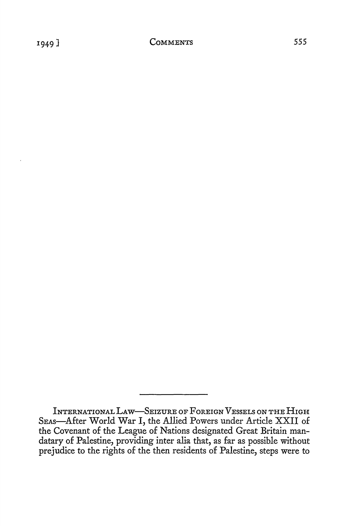INTERNATIONAL LAW-SEIZURE OF FOREIGN VESSELS ON THE HIGH SEAS-After World War I, the Allied Powers under Article XXII of the Covenant of the League of Nations designated Great Britain mandatary of Palestine, providing inter alia that, as far as possible without prejudice to the rights of the then residents of Palestine, steps were to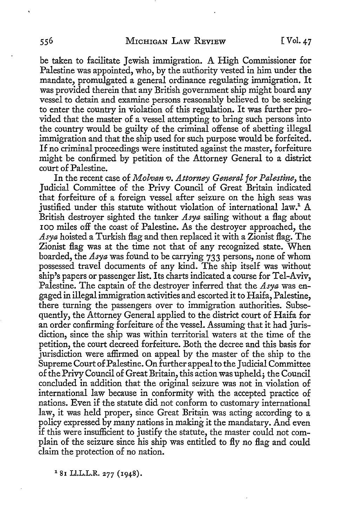be taken to facilitate Jewish immigration. A High Commissioner for Palestine was appointed, who, by the authority vested in him under the mandate, promulgated a general ordinance regulating immigration. It was provided therein that any British government ship might board any vessel to detain and examine persons reasonably believed to be seeking to enter the country in violation of this regulation. It was further provided that the master of a vessel attempting to bring such persons into the country would be guilty of the criminal offense of abetting illegal immigration and that the ship used for such purpose would be forfeited. If no criminal proceedings were instituted against the master, forfeiture might be confirmed by petition of the Attorney General to a district court of Palestine.

In the recent case of *Molvan v. Attorney General for Palestine,* the Judicial Committee of the Privy Council of Great Britain indicated that forfeiture of a foreign vessel after seizure on the high seas was justified under this statute without violation of international law.<sup>1</sup> A British destroyer sighted the tanker *Asya* sailing without a flag about IOO miles off the coast of Palestine. As the destroyer approached, the *Asya* hoisted a Turkish flag and then replaced it with a Zionist flag. The Zionist flag was at the time not that of any recognized state. When boarded, the *Asya* was found to be carrying 733 persons, none of whom possessed travel documents of any kind. The ship itself was without ship's papers or passenger list. Its charts indicated a course for Tel-Aviv, Palestine. The captain of the destroyer inferred that the *Asya* was engaged in illegal immigration activities and escorted it to Haifa, Palestine, there turning the passengers over to immigration authorities. Subsequently, the Attorney General applied to the district court of Haifa for an order confirming forfeiture of the vessel. Assuming that it had jurisdiction, since the ship was within territorial waters at the time of the petition, the court decreed forfeiture. Both the decree and this basis for jurisdiction were affirmed on appeal by the master of the ship to the Supreme Court of Palestine. On further appeal to the Judicial Committee of the Privy Council of Great Britain, this action was upheld; the Council concluded in addition that the original seizure was not in violation of international law because in conformity with the accepted practice of nations. Even if the statute did not conform to customary international law, it was held proper, since Great Britain was acting according to a policy expressed by many nations in making it the mandatary. And even if this were insufficient to justify the statute, the master could not complain of the seizure since his ship was entitled to fly no flag and could claim the protection of no nation.

<sup>1</sup> 81 Ll.L.L.R. 277 (1948).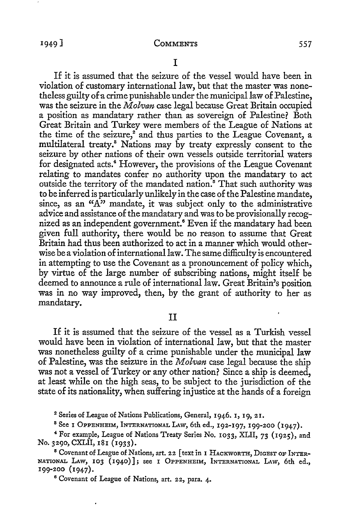If it is assumed that the seizure of the vessel would have been in violation of customary international law, but that the master was nonetheless guilty of a crime punishable under the municipal law of Palestine, was the seizure in the *Molvan* case legal because Great Britain occupied a position as mandatary rather than as sovereign of Palestine? Both Great Britain and Turkey were members of the League of Nations at the time of the seizure, $2^2$  and thus parties to the League Covenant, a multilateral treaty.8 Nations may by treaty expressly consent to the seizure by other nations of their own vessels outside territorial waters for designated acts.<sup>4</sup> However, the provisions of the League Covenant relating to mandates confer no authority upon the mandatary to act outside the territory of the mandated nation.<sup>5</sup> That such authority was to be inferred is particularly unlikely in the case of the Palestine mandate, since, as an "A" mandate, it was subject only to the administrative advice and assistance of the mandatary and was to be provisionally recognized as an independent government.<sup>6</sup> Even if the mandatary had been given full authority, there would be no reason to assume that Great Britain had thus been authorized to act in a manner which would otherwise be a violation of international law. The same difficulty is encountered in attempting to use the Covenant as a pronouncement of policy which, by virtue of the large number of subscribing nations, might itself be deemed to announce a rule of international law. Great Britain's position was in no way improved, then, by the grant of authority to her as mandatary.

### II

If it is assumed that the seizure of the vessel as a Turkish vessel would have been in violation of international law, but that the master was nonetheless guilty of a crime punishable under the municipal law of Palestine, was the seizure in the *Molvan* case legal because the ship was not a vessel of Turkey or any other nation? Since a ship is deemed, at least while on the high seas, to be subject to the jurisdiction of the state of its nationality, when suffering injustice at the hands of a foreign

<sup>2</sup> Series of League of Nations Publications, General, 1946. 1, 19, 21.

8 See I OPPENHEIM, INTERNATIONAL LAw, 6th ed., 192-197, 199-200 (1947).

<sup>4</sup>For example, League of Nations Treaty Series No. 1033, XLII, 73 (1925), and No. 3290, CXLII, 181 (1933).

<sup>5</sup> Covenant of League of Nations, art. 22 [text in I HACKWORTH, DIGEST OF INTER-NATIONAL LAw, 103 (1940)]; see I OPPENHEIM, INTERNATIONAL LAW, 6th ed., 199-200 (1947).

<sup>6</sup> Covenant of League of Nations, art. 22, para. 4.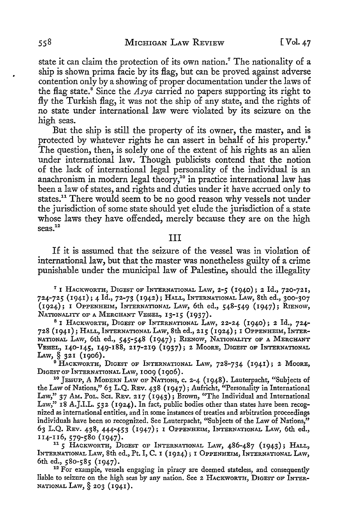state it can claim the protection of its own nation.7 The nationality of a ship is shown prima facie by its flag, but can be proved against adverse contention only by a showing of proper documentation under the laws of the flag state. 8 Since the *Asya* carried no papers supporting its right to fly the Turkish flag, it was not the ship of any state, and the rights of no state under international law were violated by its seizure on the high seas.

But the ship is still the property of its owner, the master, and is protected by whatever rights he can assert in behalf of his property.<sup>9</sup> The question, then, is solely one of the extent of his rights as an alien under international law. Though publicists contend that the notion of the lack of international legal personality of the individual is an anachronism in modern legal theory,<sup>10</sup> in practice international law has been a law of states, and rights and duties under it have accrued only to states.<sup>11</sup> There would seem to be no good reason why vessels not under the jurisdiction of some state should yet elude the jurisdiction of a state whose laws they have offended, merely because they are on the high  $s$ eas. $12$ 

#### III

If it is assumed that the seizure of the vessel was in violation of international law, but that the master was nonetheless guilty of a crime punishable under the municipal law of Palestine, should the illegality

<sup>7</sup>1 HAcKwoRTH, DIGEST OF INTERNATIONAL LAw, 2-5 (1940); 2 Id., 720-721, 724-725 (1941); 4 Id., 72-73 (1942); HALL, INTERNATIONAL LAw, 8th ed., 300-307  $(1924)$ ; I OPPENHEIM, INTERNATIONAL LAW, 6th ed.,  $548-549$   $(1947)$ ; RIENOW, NATIONALITY OF A MERCHANT VESSEL, 13-15 (1937).

<sup>8</sup>I HACKWORTH, DIGEST OF INTERNATIONAL LAW, 22-24 (1940); 2 Id., 724- 728 (1941); HALL, INTERNATIONAL LAw, 8th ed., 215 (1924); 1 OPPENHEIM, INTER-NATIONAL LAW, 6th ed., 545-548 (1947); R1ENow, NATIONALITY OF A MERCHANT VESSEL, 140-145, 149-188, 217-219 (1937); 2 MooRE, DIGEST OF INTERNATIONAL LAw, § 321 (1906).

<sup>9</sup> HACKWORTH, DIGEST OF INTERNATIONAL LAW, 728-734 (1941); 2 MOORE, DIGEST OF INTERNATIONAL LAW, 1009 (1906).<br><sup>10</sup> JESSUP, A MODERN LAW OF NATIONS, c. 2-4 (1948). Lauterpacht, "Subjects of

the Law of Nations," 63 L.Q. REv. 438 (1947); Aufricht, "Personality in International Law," 37 AM. Pol. Sci. REv. 217 (1943); Brown, "The Individual and International Law," 18 A.J.I.L. 532 (1924). In fact, public bodies other than states have been recognized as international entities, and in some instances of treaties and arbitration proceedings individuals have been so recognized. See Lauterpacht, "Subjects of the Law of Nations," 63 L.Q. REV. 438, 444-453 (1947); I OPPENHEIM, INTERNATIONAL LAw, 6th ed., 114-116, 579-580 (1947). 11 *5* HACKWORTH, DIGEST OF INTERNATIONAL LAW, 486-487 (1943); HALL,

INTERNATIONAL LAw, 8th ed., Pt. I, C. 1 ( 1924); 1 OPPENHEIM, INTERNATIONAL LAw, 6th ed., 580-585 (1947).<br><sup>12</sup> For example, vessels engaging in piracy are deemed stateless, and consequently

liable to seizure on the high seas by any nation. See 2 HACKWORTH, DIGEST OF INTER-NATIONAL LAW,§ 203 (1941).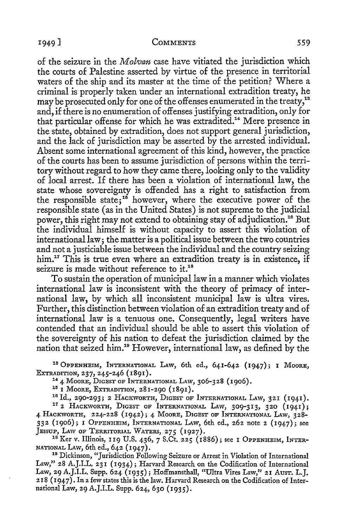#### <sup>1</sup> 949] **COMMENTS** 559

of the seizure in the *Molvan* case have vitiated the jurisdiction which the courts of Palestine asserted by virtue of the presence in territorial waters of the ship and its master at the time of the petition? Where a criminal is properly taken under an international extradition treaty, he may be prosecuted only for one of the offenses enumerated in the treaty,<sup>13</sup> and, if there is no enumeration of offenses justifying extradition, only for that particular offense for which he was extradited.<sup>14</sup> Mere presence in the state, obtained by extradition, does not support general jurisdiction, and the lack of jurisdiction may be asserted by the arrested individual. Absent some international agreement of this kind, however, the practice of the courts has been to assume jurisdiction of persons within the territory without regard to how they came there, looking only to the validity of local arrest. If there has been a violation of international law, the state whose sovereignty is offended has a right to satisfaction from the responsible state;<sup>15</sup> however, where the executive power of the responsible state (as in the United States) is not supreme to the judicial power, this right may not extend to obtaining stay of adjudication.16 But the individual himself is without capacity to assert this violation of international law; the matter is a political issue between the two countries and not a justiciable issue between the individual and the country seizing him.<sup>17</sup> This is true even where an extradition treaty is in existence, if seizure is made without reference to it.<sup>18</sup>

To sustain the operation of municipal law in a manner which violates international law is inconsistent with the theory of primacy of international law, by which all inconsistent municipal law is ultra vires. Further, this distinction between violation of an extradition treaty and of international law is a tenuous one. Consequently, legal writers have contended that an individual should be able to assert this violation of the sovereignty of his nation to defeat the jurisdiction claimed by the nation that seized him.10 However, international law, as defined by the

18 OPPENHEIM, INTERNATIONAL LAw, 6th ed., 641-642 (1947); 1 MooRE,

EXTRADITION, 237, 245-246 (1891).<br><sup>14</sup> 4 Moore, Digest of International Law, 306-328 (1906).<br><sup>15</sup> I Moore, Extradition, 281-290 (1891).<br><sup>16</sup> Id., 290-293; 2 Hackworth, Digest of International Law, 321 (1941).<br><sup>17</sup> 2 Hackwo 4 HACKWORTH, 224-228 (1942); 4 MooRE, DIGEST OF INTERNATIONAL LAw, 328- 332 (1906); I OPPENHEIM, INTERNATIONAL LAW, 6th ed., 262 note 2 (1947); see JESSUP, LAW OF TERRITORIAL WATERS, 275 (1927).

<sup>18</sup> Ker v. Illinois, 119 U.S. 436, 7 S.Ct. 225 (1886); see I OPPENHEIM, INTER-

NATIONAL LAw, 6th ed., 642 (1947). 19 Dickinson, "Jurisdiction Following Seizure or Arrest in Violation of International Law," 28 A.J.I.L. 231 (1934); Harvard Research on the Codification of International Law, 29 A.J.I.L. Supp. 624 (1935); Hoffmansthall, "Ultra Vires Law," 21 Ausr. L.J. 218 (1947). In a few states this is the law. Harvard Research on the Codification of International Law, 29 A.J.I.L. Supp. 624, 630 (1935).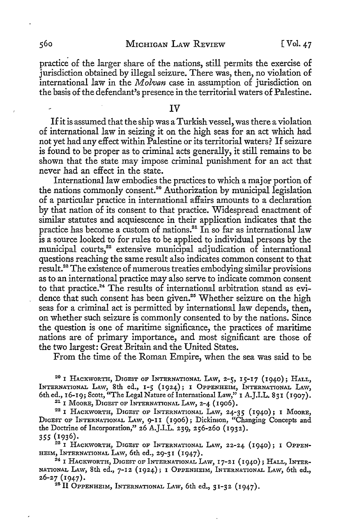practice of the larger share of the nations, still permits the exercise of jurisdiction obtained by illegal seizure. There was, then, no violation of international law in the *Molvan* case in assumption of jurisdiction on the basis of the defendant's presence in the territorial waters of Palestine.

IV

If it is assumed that the ship was a Turkish vessel, was there a violation of international law in seizing it on the high seas for an act which had not yet had any effect within Palestine or its territorial waters? If seizure is found to be proper as to criminal acts generally, it still remains to be shown that the state may impose criminal punishment for an act that never had an effect in the state.

International law embodies the practices to which a major portion of the nations commonly consent.<sup>20</sup> Authorization by municipal legislation of a particular practice in international affairs amounts to a declaration by that nation of its consent to that practice. Widespread enactment of similar statutes and acquiescence in their application indicates that the practice has become a custom of nations.<sup>21</sup> In so far as international law is a source looked to for rules to be applied to individual persons by the municipal courts,<sup>22</sup> extensive municipal adjudication of international questions reaching the same result also indicates common consent to that result.28 The existence of numerous treaties embodying similar provisions as to an international practice may also serve to indicate common consent to that practice.<sup>24</sup> The results of international arbitration stand as evidence that such consent has been given.<sup>25</sup> Whether seizure on the high seas for a criminal act is permitted by international law depends, then, on whether such seizure is commonly consented to by the nations. Since the question is one of maritime significance, the practices of maritime nations are of primary importance, and most significant are those of the two largest: Great Britain and the United States.

From the time of the Roman Empire, when the sea was said to be

20 I HACKWORTH, DIGEST OF INTERNATIONAL LAW, 2-5, 15-17 (1940); HALL, INTERNATIONAL LAW, 8th ed., 1-5 (1924); I OPPENHEIM, INTERNATIONAL LAW, 6th ed., 16-19; Scott, "The Legal Nature of International Law," I A.J.I.L. 831 (1907).

<sup>21</sup> I MOORE, DIGEST OF INTERNATIONAL LAW, 2-4 (1906).<br><sup>22</sup> I HACKWORTH, DIGEST OF INTERNATIONAL LAW, 24-35 (1940); 1 Moore, DIGEST OF INTERNATIONAL LAw, 9-II (1906); Dickinson, "Changing Concepts and the Doctrine of Incorporation," 26 A.J.I.L. 239, 256-260 (1932).

355 (1936).

<sup>23</sup> I HACKWORTH, DIGEST OF INTERNATIONAL LAW, 22-24 (1940); I OPPEN-HEIM, INTERNATIONAL LAW, 6th ed., 29-31 (1947).<br><sup>24</sup> I HACKWORTH, DIGEST OF INTERNATIONAL LAW, 17-21 (1940); HALL, INTER-

NATIONAL LAW, 8th ed.,  $7-12$  (1924); 1 OPPENHEIM, INTERNATIONAL LAW, 6th ed.,  $26-27$  (1947).

<sup>28</sup> II OPPENHEIM, INTERNATIONAL LAW, 6th ed.,  $31-32$  (1947).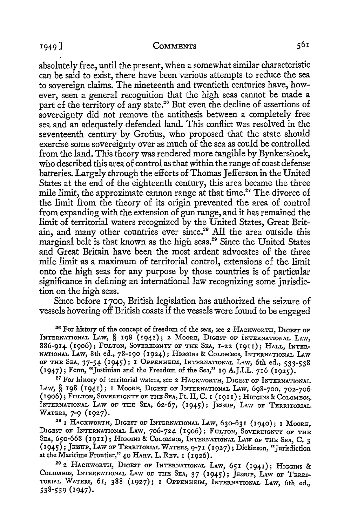#### <sup>1</sup> 949] **COMMENTS**

absolutely free, until the present, when a somewhat similar characteristic can be said to exist, there have been various attempts to reduce the sea to sovereign claims. The nineteenth and twentieth centuries have, however, seen a general recognition that the high seas cannot be made a part of the territory of any state.<sup>26</sup> But even the decline of assertions of sovereignty did not remove the antithesis between a completely free sea and an adequately defended land. This conflict was resolved in the seventeenth century by Grotius, who proposed that the state should exercise some sovereignty over as much of the sea as could be controlled from the land. This theory was rendered more tangible by Bynkershoek, who described this area of control as that within the range of coast defense batteries. Largely through the efforts of Thomas Jefferson in the United States at the end of the eighteenth century, this area became the three mile limit, the approximate cannon range at that time.<sup>27</sup> The divorce of the limit from the theory of its origin prevented the area of control from expanding with the extension of gun range, and it has remained the limit of territorial waters recognized by the United States, Great Britain, and many other countries ever since.<sup>28</sup> All the area outside this marginal belt is that known as the high seas.<sup>29</sup> Since the United States and Great Britain have been the most ardent advocates of the three mile limit as a maximum of territorial control, extensions of the limit onto the high seas for any purpose by those countries is of particular significance in defining an international law recognizing some jurisdiction on the high seas.

Since before r700, British legislation has authorized the seizure of vessels hovering off British coasts if the vessels were found to be engaged

<sup>26</sup> For history of the concept of freedom of the seas, see 2 HACKWORTH, DIGEST OF INTERNATIONAL LAW, § 198 (1941); 2 MOORE, DIGEST OF INTERNATIONAL LAW, 886-914 (1906); FULTON, SOVEREIGNTY OF THE SEA, 1-22 (1911); HALL, INTER-NATIONAL LAw, 8th ed., 78-190 (1924); HIGGINS & CoLOMBos, INTERNATIONAL LAw OF THE SEA, 37-54 (1945); I OPPENHEIM, INTERNATIONAL LAw, 6th ed., 533-538 (1947); Fenn, "Justinian and the Freedom of the Sea," 19 A.J.I.L. 716 (1925).

27 For history of territorial waters, see 2 HACKWORTH, DIGEST OF INTERNATIONAL LAW, § 198 (1941); I MOORE, DIGEST OF INTERNATIONAL LAW, 698-700, 702-706-(1906); FULTON, SOVEREIGNTY OF THE SEA, Pt. II, C. 1 (1911); HIGGINS & CoLoMBos,. INTERNATIONAL LAW OF THE SEA, 62-67, (1945); JESSUP, LAW OF TERRITORIAL WATERS, 7-9 (1927).<br><sup>28</sup> 1 HACKWORTH, DIGEST OF INTERNATIONAL LAW, 630-631 (1940); 1 Moore,

DIGEST OF INTERNATIONAL LAW, 706-724 (1906); FULTON, SOVEREIGNTY OF THE SEA, 650-668 (1911); HIGGINS & COLOMBOS, INTERNATIONAL LAW OF THE SEA, C. 3 (1945); JESSUP, LAW OF TERRITORIAL WATERS, 9-71 (1927); Dickinson, "Jurisdiction at the Maritime Frontier," 40 HARv. L. REv. I ( I 926).

29 2 HACKWORTH, D1GEST OF INTERNATIONAL LAw, 651 (1941); HIGGINS & CoLOMBos, INTERNATIONAL LAw OF THE SEA, 37 (1945); JESSUP, LAw OF TERRI-TORIAL WATERS, 61, 388 (1927); I OPPENHEIM, INTERNATIONAL LAw, 6th ed., 538-539 (1947).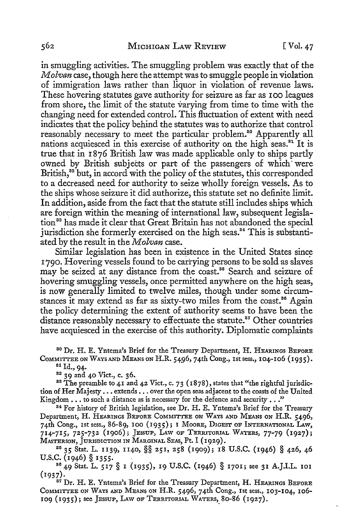in smuggling activities. The smuggling problem was exactly that of the *Molvan* case, though here the attempt was to smuggle people in violation of immigration laws rather than liquor in violation of revenue laws. These hovering statutes gave authority for seizure as far as I oo leagues from shore, the limit of the statute varying from time to time with the changing need for extended control. This fluctuation of extent with need indicates that the policy behind the statutes was to authorize that control reasonably necessary to meet the particular problem.<sup>80</sup> Apparently all nations acquiesced in this exercise of authority on the high seas.<sup>81</sup> It is true that in I 876 British law was made applicable only to ships partly owned by British subjects or part of the passengers of which· were British,<sup>32</sup> but, in accord with the policy of the statutes, this corresponded to a decreased need for authority *to* seize wholly foreign vessels. As *to*  the ships whose seizure it did authorize, this statute set no definite limit. In addition, aside from the fact that the statute still includes ships which are foreign within the meaning of international law, subsequent legislation 83 has made it clear that Great Britain has not abandoned the special jurisdiction she formerly exercised on the high seas.<sup>34</sup> This is substantiated by the result in the *Molvan* case.

Similar legislation has been in existence in the United States since 1790. Hovering vessels found to be carrying persons to be sold as slaves may be seized at any distance from the coast.<sup>85</sup> Search and seizure of hovering smuggling vessels, once permitted anywhere on the high seas, is now generally limited to twelve miles, though under some circumstances it may extend as far as sixty-two miles from the coast.<sup>86</sup> Again the policy determining the extent of authority seems to have been the distance reasonably necessary to effectuate the statute.<sup>87</sup> Other countries have acquiesced in the exercise of this authority. Diplomatic complaints

80 Dr. H. E. Yntema's Brief for the Treasury Department, H. HEARINGS BEFORE CoMMl'ITEE ON WAYS AND MEANS ON H.R. 5496, 74th Cong., 1st sess., 104-106 (1935).

s1 Id., 94-

 $^{82}$  39 and 40 Vict., c. 36.<br><sup>88</sup> The preamble to 41 and 42 Vict., c. 73 (1878), states that "the rightful jurisdiction of Her Majesty . . . extends . . . over the open seas adjacent to the coasts of the United Kingdom . . . to such a distance as is necessary for the defence and security . . ."

<sup>84</sup> For history of British legislation, see Dr. H. E. Yntema's Brief for the Treasury Department, H. HEARINGS BEFORE COMMITTEE ON WAYS AND MEANS ON H.R. 5496, 74th Cong., 1st sess., 86-89, 100 (1935); I MooRE, DIGEST OF INTERNATIONAL LAW, 714-715, 725-732 (1906); JESSUP, LAW OF TERRITORIAL WATERS, 77-79 (1927);

Masterson, Jurisdiction in Marginal Seas, Pt. I (1929).<br><sup>85</sup> 35 Stat. L. 1139, 1140, §§ 251, 258 (1909); 18 U.S.C. (1946) § 426, 46

U.S.C. (1946) § 1355.<br><sup>86</sup> 49 Stat. L. 517 § I (1935), 19 U.S.C. (1946) § 1701; see 31 A.J.L.L. IOI<br>(1937).

<sup>37</sup> Dr. H. E. Yntema's Brief for the Treasury Department, H. HEARINGS BEFORE COMMITTEE ON WAYS AND MEANS ON H.R. 5496, 74th Cong., 1st sess., 103-104, 106-109 (1935); see JESSUP, LAW OF TERRITORIAL WATERS, 80-86 (1927).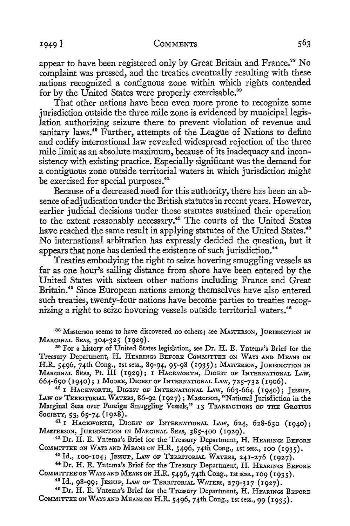#### 1949 J COMMENTS

appear to have been registered only by Great Britain and France.<sup>38</sup> No complaint was pressed, and the treaties eventually resulting with these nations recognized a contiguous zone within which rights contended

for by the United States were properly exercisable.<sup>39</sup> That other nations have been even more prone to recognize some jurisdiction outside the three mile zone is evidenced by municipal legislation authorizing seizure there to prevent violation of revenue and sanitary laws.<sup>40</sup> Further, attempts of the League of Nations to define and codify international law revealed widespread rejection of the three mile limit as an absolute maximum, because of its inadequacy and inconsistency with existing practice. Especially significant was the demand for a contiguous zone outside territorial waters in which jurisdiction might be exercised for special purposes.<sup>41</sup>

Because of a decreased need for this authority, there has been an absence of adjudication under the British statutes in recent years. However, earlier judicial decisions under those statutes sustained their operation to the extent reasonably necessary.<sup>42</sup> The courts of the United States have reached the same result in applying statutes of the United States.<sup>43</sup> No international arbitration has expressly decided the question, but it appears that none has denied the existence of such jurisdiction.<sup>44</sup>

Treaties embodying the right to seize hovering smuggling vessels as far as one hour's sailing distance from shore have been entered by the United States with sixteen other nations including France and Great Britain.<sup>45</sup> Since European nations among themselves have also entered such treaties, twenty-four nations have become parties to treaties recognizing a right to seize hovering vessels outside territorial waters.<sup>46</sup>

<sup>38</sup> Masterson seems to have discovered no others; see MASTERSON, JURISDICTION IN MARGINAL SEAs, 304-325 (1929). 39 For a history of United States legislation, see Dr. H. E. Yntema's Brief for the

Treasury Department, H. HEARINGS BEFORE CoMMITTEE oN WAYS AND MEANS ON H.R. 5496, 74th Cong., 1st sess., 89-94, 95-98 (1935); MASTERSON, JURISDICTION IN MARGINAL SEAS, Pt. III (1929); l HACKWORTH, DIGEST OF INTERNATIONAL LAW, 664-690 (1940); 1 MooRE, DIGEST OF INTERNATIONAL LAw, 725-732 (1906). 40 **l** HACKWORTH, DIGEST OF INTERNATIONAL LAW, 663-664 (1940); JESSUP,

LAW OF TERRITORIAL WATERS, 86-92 (1927); Masterson, "National Jurisdiction in the Marginal Seas over Foreign Smuggling Vessels," 13 TRANSACTIONS OF THE GROTIUS

Society, 53, 65-74 (1928).<br><sup>41</sup> i Hackworth, Digest of International Law, 624, 628-630 (1940);<br>Masterson, Jurisdiction in Marginal Seas, 385-400 (1929).

<sup>42</sup> Dr. H. E. Yntema's Brief for the Treasury Department, H. HEARINGS BEFORE COMMITTEE ON WAYS AND MEANS ON H.R. 5496, 74th Cong., 1st sess., 100 (1935).

<sup>48</sup> Id., 100-104; JESSUP, LAW OF TERRITORIAL WATERS, 241-276 (1927). 44 Dr. H. E. Yntema's Brief for the Treasury Department, H. HEARINGS BEFORE COMMITTEE ON WAYS AND MEANS ON H.R. 5496, 74th Cong., 1st sess., 109 (1935).<br><sup>45</sup> Id., 98-99; JESSUP, LAW OF TERRITORIAL WATERS, 279-317 (1927).<br><sup>46</sup> Dr. H. E. Yntema's Brief for the Treasury Department, H. HEARINGS BEFORE

COMMITTEE ON WAYS AND MEANS ON H.R. 5496, 74th Cong., 1st sess., 99 (1935).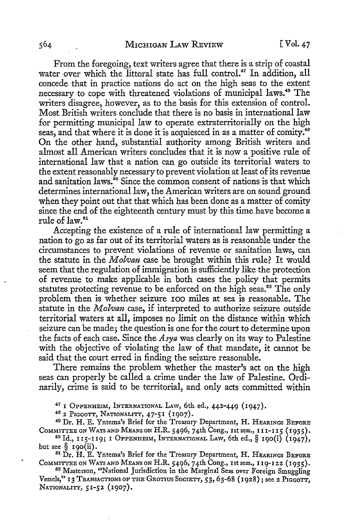From the foregoing, text writers agree that there is a strip of coastal water over which the littoral state has full control.<sup>47</sup> In addition, all concede that in practice nations do act on the high seas to the extent necessary to cope with threatened violations of municipal laws.48 The writers disagree, however, as to the basis for this extension of control. Most British writers conclude that there is no basis in international law for permitting municipal law to operate extraterritorially on the high seas, and that where it is done it is acquiesced in as a matter of comity.<sup>49</sup> On the other hand, substantial authority among British writers and almost all American writers concludes that it is now a positive rule of international law that a nation can go outside its territorial waters to the extent reasonably necessary to prevent violation at least of its revenue and sanitation laws.<sup>50</sup> Since the common consent of nations is that which determines international law, the American writers are on sound ground when they point out that that which has been done as a matter of comity since the end of the eighteenth century must by this time have become a rule of law.51

Accepting the existence of a rule of international law permitting a nation to go as far out of its territorial waters as is reasonable under the circumstances to prevent violations of revenue or sanitation laws, can the statute in the *Molvan* case be brought within this rule? It would seem that the regulation of immigration is sufficiently like the protection of revenue to make applicable in both cases the policy that permits statutes protecting revenue to be enforced on the high seas.<sup>52</sup> The only problem then is whether seizure IOO miles at sea is reasonable. The statute in the *Molvan* case, if interpreted to authorize seizure outside territorial waters at all, imposes no limit on the distance within which seizure can be made; the question is one for the court to determine upon the facts of each case. Since the *Asya* was clearly on its way to Palestine with the objective of violating the law of that mandate, it cannot be said that the court erred in finding the seizure reasonable.

There remains the problem whether the master's act on the high seas can properly be called a crime under the law of Palestine. Ordinarily, crime is said to be territorial, and only acts committed within

<sup>47</sup> I OPPENHEIM, INTERNATIONAL LAW, 6th ed., 442-449 (1947).<br><sup>48</sup> 2 PIGGOTT, NATIONALITY, 47-51 (1907).<br><sup>49</sup> Dr. H. E. Yntema's Brief for the Treasury Department, H. HEARINGS BEFORE<br>COMMITTEE ON WAYS AND MEANS ON H.R. 54

<sup>50</sup> Id., 115-119; I OPPENHEIM, INTERNATIONAL LAW, 6th ed., § 190(i) (1947), but see § 190(ii).<br><sup>51</sup> Dr. H. E. Yntema's Brief for the Treasury Department, H. HEARINGS BEFORE

COMMITTEE ON WAYS AND MEANS ON H.R. 5496, 74th Cong., 1st sess., 119-122 (1935).<br><sup>52</sup> Masterson, "National Jurisdiction in the Marginal Seas over Foreign Smuggling

Vessels," 13 TRANSACTIONS OF THE GROTIUS SOCIETY, 53, 63-68 (1928); see 2 PIGGOTT, NATIONALITY, 51-52 (1907).